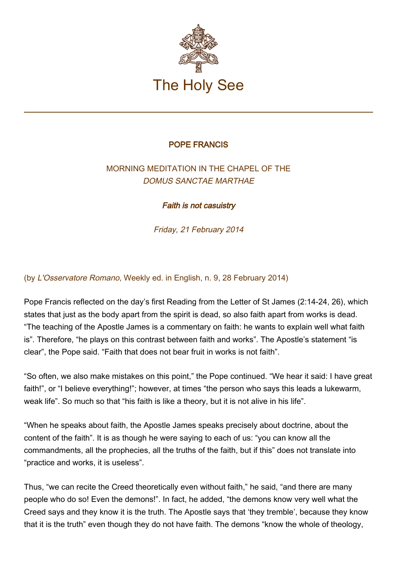

## POPE FRANCIS

## MORNING MEDITATION IN THE CHAPEL OF THE DOMUS SANCTAE MARTHAE

Faith is not casuistry

Friday, 21 February 2014

(by L'Osservatore Romano, Weekly ed. in English, n. 9, 28 February 2014)

Pope Francis reflected on the day's first Reading from the Letter of St James (2:14-24, 26), which states that just as the body apart from the spirit is dead, so also faith apart from works is dead. "The teaching of the Apostle James is a commentary on faith: he wants to explain well what faith is". Therefore, "he plays on this contrast between faith and works". The Apostle's statement "is clear", the Pope said. "Faith that does not bear fruit in works is not faith".

"So often, we also make mistakes on this point," the Pope continued. "We hear it said: I have great faith!", or "I believe everything!"; however, at times "the person who says this leads a lukewarm, weak life". So much so that "his faith is like a theory, but it is not alive in his life".

"When he speaks about faith, the Apostle James speaks precisely about doctrine, about the content of the faith". It is as though he were saying to each of us: "you can know all the commandments, all the prophecies, all the truths of the faith, but if this" does not translate into "practice and works, it is useless".

Thus, "we can recite the Creed theoretically even without faith," he said, "and there are many people who do so! Even the demons!". In fact, he added, "the demons know very well what the Creed says and they know it is the truth. The Apostle says that 'they tremble', because they know that it is the truth" even though they do not have faith. The demons "know the whole of theology,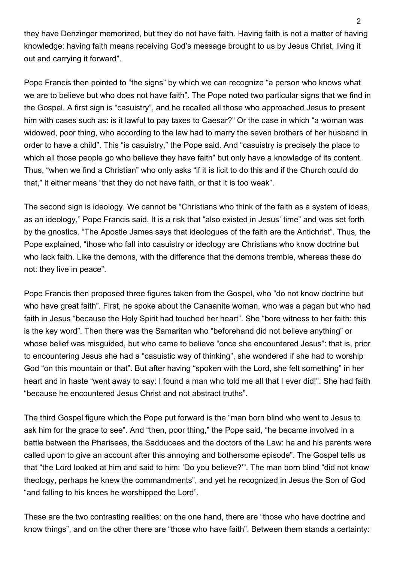they have Denzinger memorized, but they do not have faith. Having faith is not a matter of having knowledge: having faith means receiving God's message brought to us by Jesus Christ, living it out and carrying it forward".

Pope Francis then pointed to "the signs" by which we can recognize "a person who knows what we are to believe but who does not have faith". The Pope noted two particular signs that we find in the Gospel. A first sign is "casuistry", and he recalled all those who approached Jesus to present him with cases such as: is it lawful to pay taxes to Caesar?" Or the case in which "a woman was widowed, poor thing, who according to the law had to marry the seven brothers of her husband in order to have a child". This "is casuistry," the Pope said. And "casuistry is precisely the place to which all those people go who believe they have faith" but only have a knowledge of its content. Thus, "when we find a Christian" who only asks "if it is licit to do this and if the Church could do that," it either means "that they do not have faith, or that it is too weak".

The second sign is ideology. We cannot be "Christians who think of the faith as a system of ideas, as an ideology," Pope Francis said. It is a risk that "also existed in Jesus' time" and was set forth by the gnostics. "The Apostle James says that ideologues of the faith are the Antichrist". Thus, the Pope explained, "those who fall into casuistry or ideology are Christians who know doctrine but who lack faith. Like the demons, with the difference that the demons tremble, whereas these do not: they live in peace".

Pope Francis then proposed three figures taken from the Gospel, who "do not know doctrine but who have great faith". First, he spoke about the Canaanite woman, who was a pagan but who had faith in Jesus "because the Holy Spirit had touched her heart". She "bore witness to her faith: this is the key word". Then there was the Samaritan who "beforehand did not believe anything" or whose belief was misguided, but who came to believe "once she encountered Jesus": that is, prior to encountering Jesus she had a "casuistic way of thinking", she wondered if she had to worship God "on this mountain or that". But after having "spoken with the Lord, she felt something" in her heart and in haste "went away to say: I found a man who told me all that I ever did!". She had faith "because he encountered Jesus Christ and not abstract truths".

The third Gospel figure which the Pope put forward is the "man born blind who went to Jesus to ask him for the grace to see". And "then, poor thing," the Pope said, "he became involved in a battle between the Pharisees, the Sadducees and the doctors of the Law: he and his parents were called upon to give an account after this annoying and bothersome episode". The Gospel tells us that "the Lord looked at him and said to him: 'Do you believe?'". The man born blind "did not know theology, perhaps he knew the commandments", and yet he recognized in Jesus the Son of God "and falling to his knees he worshipped the Lord".

These are the two contrasting realities: on the one hand, there are "those who have doctrine and know things", and on the other there are "those who have faith". Between them stands a certainty: